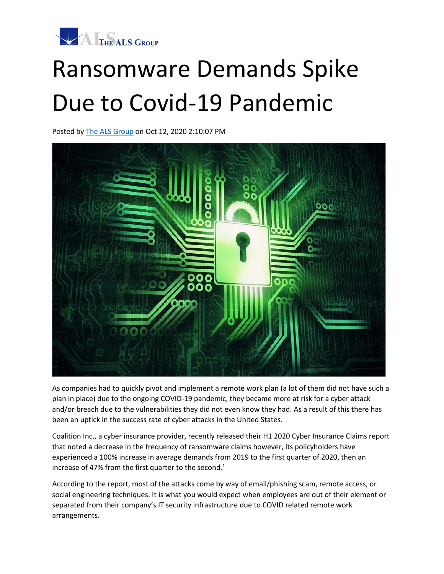

## Ransomware Demands Spike Due to Covid-19 Pandemic

Posted by [The ALS Group](https://info.thealsgroup.com/blog/author/the-als-group) on Oct 12, 2020 2:10:07 PM



As companies had to quickly pivot and implement a remote work plan (a lot of them did not have such a plan in place) due to the ongoing COVID-19 pandemic, they became more at risk for a cyber attack and/or breach due to the vulnerabilities they did not even know they had. As a result of this there has been an uptick in the success rate of cyber attacks in the United States.

Coalition Inc., a cyber insurance provider, recently released their H1 2020 Cyber Insurance Claims report that noted a decrease in the frequency of ransomware claims however, its policyholders have experienced a 100% increase in average demands from 2019 to the first quarter of 2020, then an increase of 47% from the first quarter to the second.<sup>1</sup>

According to the report, most of the attacks come by way of email/phishing scam, remote access, or social engineering techniques. It is what you would expect when employees are out of their element or separated from their company's IT security infrastructure due to COVID related remote work arrangements.